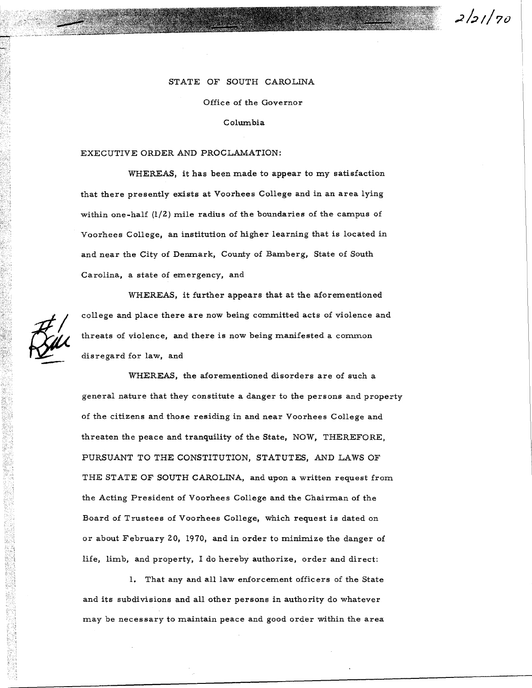$2/21/70$ 

## STATE OF SOUTH CAROLINA

Office of the Governor

Columbia

## EXECUTIVE ORDER AND PROCLAMATION:

WHEREAS, it has been made to appear to my satisfaction that there presently exists at Voorhees College and in an area lying within one-half  $(1/2)$  mile radius of the boundaries of the campus of Voorhees College, an institution of higher learning that is located in and near the City of Denmark, County of Bamberg, State of South Carolina, a state of emergency, and

WHEREAS, it further appears that at the aforementioned college and place there are now being committed acts of violence and threats of violence, and there is now being manifested a common disregard for law, and

WHEREAS, the aforementioned disorders are of such a general nature that they constitute a danger to the persons and property of the citizens and those residing in and near Voorhees College and threaten the peace and tranquility of the State, NOW, THEREFORE, PURSUANT TO THE CONSTITUTION, STATUTES, AND LAWS OF THE STATE OF SOUTH CAROLINA, and upon a written request from the Acting President of Voorhees College and the Chairman of the Board of Trustees of Voorhees College, which request is dated on or about February 20, 1970, and in order to minimize the danger of life, limb, and property, I do hereby authorize, order and direct:

1. That any and all law enforcement officers of the State and its subdivisions and all other persons in authority do whatever may be necessary to maintain peace and good order within the area